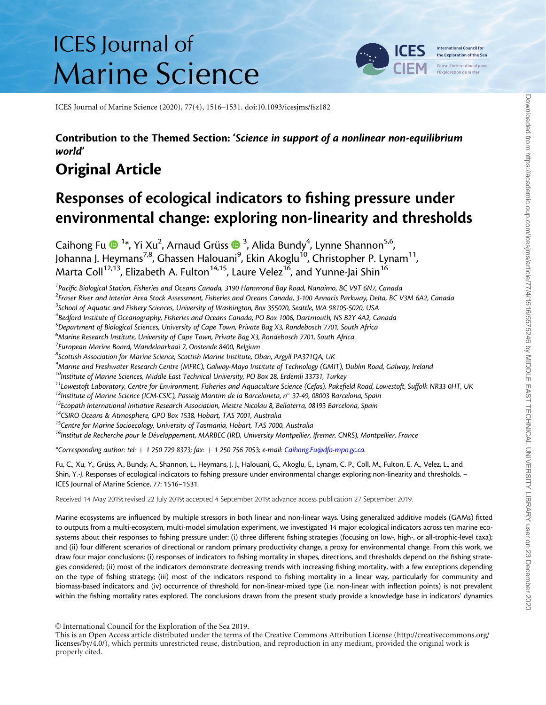# **ICES** Journal of **Marine Science**



ICES Journal of Marine Science (2020), 77(4), 1516–1531. doi:10.1093/icesjms/fsz182

### Contribution to the Themed Section: 'Science in support of a nonlinear non-equilibrium world'

## Original Article

## Responses of ecological indicators to fishing pressure under environmental change: exploring non-linearity and thresholds

Caihong Fu (D<sup>-1\*</sup>, Yi Xu<sup>2</sup>, Arnaud Grüss (D<sup>-3</sup>, Alida Bundy<sup>4</sup>, Lynne Shannon<sup>5,6</sup>, Johanna J. Heymans<sup>7,8</sup>, Ghassen Halouani<sup>9</sup>, Ekin Akoglu<sup>10</sup>, Christopher P. Lynam<sup>11</sup>, Marta Coll $^{12,13}$ , Elizabeth A. Fulton $^{14,15}$ , Laure Velez $^{16}$ , and Yunne-Jai Shin $^{16}$ 

<sup>1</sup> Pacific Biological Station, Fisheries and Oceans Canada, 3190 Hammond Bay Road, Nanaimo, BC V9T 6N7, Canada

<sup>2</sup>Fraser River and Interior Area Stock Assessment, Fisheries and Oceans Canada, 3-100 Annacis Parkway, Delta, BC V3M 6A2, Canada

<sup>3</sup>School of Aquatic and Fishery Sciences, University of Washington, Box 355020, Seattle, WA 98105-5020, USA

4 Bedford Institute of Oceanography, Fisheries and Oceans Canada, PO Box 1006, Dartmouth, NS B2Y 4A2, Canada

<sup>5</sup> Department of Biological Sciences, University of Cape Town, Private Bag X3, Rondebosch 7701, South Africa

<sup>6</sup>Marine Research Institute, University of Cape Town, Private Bag X3, Rondebosch 7701, South Africa

 $^7$ European Marine Board, Wandelaarkaai 7, Oostende 8400, Belgium

<sup>8</sup>Scottish Association for Marine Science, Scottish Marine Institute, Oban, Argyll PA371QA, UK

<sup>9</sup>Marine and Freshwater Research Centre (MFRC), Galway-Mayo Institute of Technology (GMIT), Dublin Road, Galway, Ireland

<sup>10</sup>Institute of Marine Sciences, Middle East Technical University, PO Box 28, Erdemli 33731, Turkey

 $^{11}$ Lowestoft Laboratory, Centre for Environment, Fisheries and Aquaculture Science (Cefas), Pakefield Road, Lowestoft, Suffolk NR33 0HT, UK

 $12$ Institute of Marine Science (ICM-CSIC), Passeig Maritim de la Barceloneta, n° 37-49, 08003 Barcelona, Spain

 $^{13}$ Ecopath International Initiative Research Association, Mestre Nicolau 8, Bellaterra, 08193 Barcelona, Spain

<sup>14</sup>CSIRO Oceans & Atmosphere, GPO Box 1538, Hobart, TAS 7001, Australia

<sup>15</sup>Centre for Marine Socioecology, University of Tasmania, Hobart, TAS 7000, Australia

<sup>16</sup>Institut de Recherche pour le Développement, MARBEC (IRD, University Montpellier, Ifremer, CNRS), Montpellier, France

\*Corresponding author: tel:  $+1$  250 729 8373; fax:  $+1$  250 756 7053; e-mail: [Caihong.Fu@dfo-mpo.gc.ca.](mailto:Caihong.Fu@dfo-mpo.gc.ca)

Fu, C., Xu, Y., Grüss, A., Bundy, A., Shannon, L., Heymans, J. J., Halouani, G., Akoglu, E., Lynam, C. P., Coll, M., Fulton, E. A., Velez, L., and Shin, Y.-J. Responses of ecological indicators to fishing pressure under environmental change: exploring non-linearity and thresholds. – ICES Journal of Marine Science, 77: 1516–1531.

Received 14 May 2019; revised 22 July 2019; accepted 4 September 2019; advance access publication 27 September 2019.

Marine ecosystems are influenced by multiple stressors in both linear and non-linear ways. Using generalized additive models (GAMs) fitted to outputs from a multi-ecosystem, multi-model simulation experiment, we investigated 14 major ecological indicators across ten marine ecosystems about their responses to fishing pressure under: (i) three different fishing strategies (focusing on low-, high-, or all-trophic-level taxa); and (ii) four different scenarios of directional or random primary productivity change, a proxy for environmental change. From this work, we draw four major conclusions: (i) responses of indicators to fishing mortality in shapes, directions, and thresholds depend on the fishing strategies considered; (ii) most of the indicators demonstrate decreasing trends with increasing fishing mortality, with a few exceptions depending on the type of fishing strategy; (iii) most of the indicators respond to fishing mortality in a linear way, particularly for community and biomass-based indicators; and (iv) occurrence of threshold for non-linear-mixed type (i.e. non-linear with inflection points) is not prevalent within the fishing mortality rates explored. The conclusions drawn from the present study provide a knowledge base in indicators' dynamics

This is an Open Access article distributed under the terms of the Creative Commons Attribution License [\(http://creativecommons.org/](http://creativecommons.org/licenses/by/4.0/) [licenses/by/4.0/\)](http://creativecommons.org/licenses/by/4.0/), which permits unrestricted reuse, distribution, and reproduction in any medium, provided the original work is properly cited.

V<sup>C</sup> International Council for the Exploration of the Sea 2019.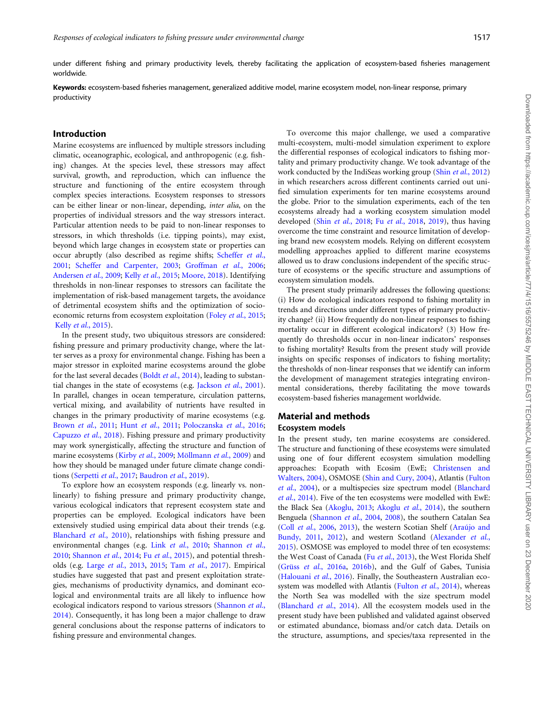under different fishing and primary productivity levels, thereby facilitating the application of ecosystem-based fisheries management worldwide.

Keywords: ecosystem-based fisheries management, generalized additive model, marine ecosystem model, non-linear response, primary productivity

#### Introduction

Marine ecosystems are influenced by multiple stressors including climatic, oceanographic, ecological, and anthropogenic (e.g. fishing) changes. At the species level, these stressors may affect survival, growth, and reproduction, which can influence the structure and functioning of the entire ecosystem through complex species interactions. Ecosystem responses to stressors can be either linear or non-linear, depending, inter alia, on the properties of individual stressors and the way stressors interact. Particular attention needs to be paid to non-linear responses to stressors, in which thresholds (i.e. tipping points), may exist, beyond which large changes in ecosystem state or properties can occur abruptly (also described as regime shifts; [Scheffer](#page-15-0) et al., [2001;](#page-15-0) [Scheffer and Carpenter, 2003](#page-15-0); [Groffman](#page-14-0) et al., 2006; [Andersen](#page-13-0) et al., 2009; Kelly et al.[, 2015](#page-15-0); [Moore, 2018](#page-15-0)). Identifying thresholds in non-linear responses to stressors can facilitate the implementation of risk-based management targets, the avoidance of detrimental ecosystem shifts and the optimization of socioeconomic returns from ecosystem exploitation (Foley et al.[, 2015;](#page-14-0) Kelly et al.[, 2015\)](#page-15-0).

In the present study, two ubiquitous stressors are considered: fishing pressure and primary productivity change, where the latter serves as a proxy for environmental change. Fishing has been a major stressor in exploited marine ecosystems around the globe for the last several decades (Boldt et al.[, 2014](#page-14-0)), leading to substan-tial changes in the state of ecosystems (e.g. [Jackson](#page-15-0) *et al.*, 2001). In parallel, changes in ocean temperature, circulation patterns, vertical mixing, and availability of nutrients have resulted in changes in the primary productivity of marine ecosystems (e.g. [Brown](#page-14-0) et al., 2011; Hunt et al.[, 2011;](#page-15-0) [Poloczanska](#page-15-0) et al., 2016; [Capuzzo](#page-14-0) et al., 2018). Fishing pressure and primary productivity may work synergistically, affecting the structure and function of marine ecosystems (Kirby et al.[, 2009](#page-15-0); Möllmann et al., 2009) and how they should be managed under future climate change conditions [\(Serpetti](#page-15-0) et al., 2017; [Baudron](#page-14-0) et al., 2019).

To explore how an ecosystem responds (e.g. linearly vs. nonlinearly) to fishing pressure and primary productivity change, various ecological indicators that represent ecosystem state and properties can be employed. Ecological indicators have been extensively studied using empirical data about their trends (e.g. [Blanchard](#page-14-0) et al., 2010), relationships with fishing pressure and environmental changes (e.g. Link et al.[, 2010](#page-15-0); [Shannon](#page-15-0) et al., [2010;](#page-15-0) [Shannon](#page-15-0) et al., 2014; Fu et al.[, 2015\)](#page-14-0), and potential thresholds (e.g. Large et al.[, 2013](#page-15-0), [2015](#page-15-0); Tam et al.[, 2017](#page-15-0)). Empirical studies have suggested that past and present exploitation strategies, mechanisms of productivity dynamics, and dominant ecological and environmental traits are all likely to influence how ecological indicators respond to various stressors [\(Shannon](#page-15-0) et al., [2014\)](#page-15-0). Consequently, it has long been a major challenge to draw general conclusions about the response patterns of indicators to fishing pressure and environmental changes.

To overcome this major challenge, we used a comparative multi-ecosystem, multi-model simulation experiment to explore the differential responses of ecological indicators to fishing mortality and primary productivity change. We took advantage of the work conducted by the IndiSeas working group (Shin et al.[, 2012\)](#page-15-0) in which researchers across different continents carried out unified simulation experiments for ten marine ecosystems around the globe. Prior to the simulation experiments, each of the ten ecosystems already had a working ecosystem simulation model developed (Shin et al.[, 2018;](#page-15-0) Fu et al.[, 2018](#page-14-0), [2019\)](#page-14-0), thus having overcome the time constraint and resource limitation of developing brand new ecosystem models. Relying on different ecosystem modelling approaches applied to different marine ecosystems allowed us to draw conclusions independent of the specific structure of ecosystems or the specific structure and assumptions of ecosystem simulation models.

The present study primarily addresses the following questions: (i) How do ecological indicators respond to fishing mortality in trends and directions under different types of primary productivity change? (ii) How frequently do non-linear responses to fishing mortality occur in different ecological indicators? (3) How frequently do thresholds occur in non-linear indicators' responses to fishing mortality? Results from the present study will provide insights on specific responses of indicators to fishing mortality; the thresholds of non-linear responses that we identify can inform the development of management strategies integrating environmental considerations, thereby facilitating the move towards ecosystem-based fisheries management worldwide.

#### Material and methods Ecosystem models

In the present study, ten marine ecosystems are considered. The structure and functioning of these ecosystems were simulated using one of four different ecosystem simulation modelling approaches: Ecopath with Ecosim (EwE; [Christensen and](#page-14-0) [Walters, 2004](#page-14-0)), OSMOSE ([Shin and Cury, 2004](#page-15-0)), Atlantis ([Fulton](#page-14-0) et al.[, 2004](#page-14-0)), or a multispecies size spectrum model [\(Blanchard](#page-14-0) et al.[, 2014](#page-14-0)). Five of the ten ecosystems were modelled with EwE: the Black Sea [\(Akoglu, 2013](#page-13-0); [Akoglu](#page-13-0) et al., 2014), the southern Benguela ([Shannon](#page-15-0) et al., 2004, [2008](#page-15-0)), the southern Catalan Sea (Coll et al.[, 2006](#page-14-0), [2013\)](#page-14-0), the western Scotian Shelf (Araújo and [Bundy, 2011](#page-13-0), [2012](#page-13-0)), and western Scotland [\(Alexander](#page-13-0) et al., [2015\)](#page-13-0). OSMOSE was employed to model three of ten ecosystems: the West Coast of Canada (Fu et al.[, 2013](#page-14-0)), the West Florida Shelf (Grüss et al.[, 2016a](#page-14-0), [2016b\)](#page-14-0), and the Gulf of Gabes, Tunisia [\(Halouani](#page-14-0) et al., 2016). Finally, the Southeastern Australian eco-system was modelled with Atlantis [\(Fulton](#page-14-0) et al., 2014), whereas the North Sea was modelled with the size spectrum model [\(Blanchard](#page-14-0) et al., 2014). All the ecosystem models used in the present study have been published and validated against observed or estimated abundance, biomass and/or catch data. Details on the structure, assumptions, and species/taxa represented in the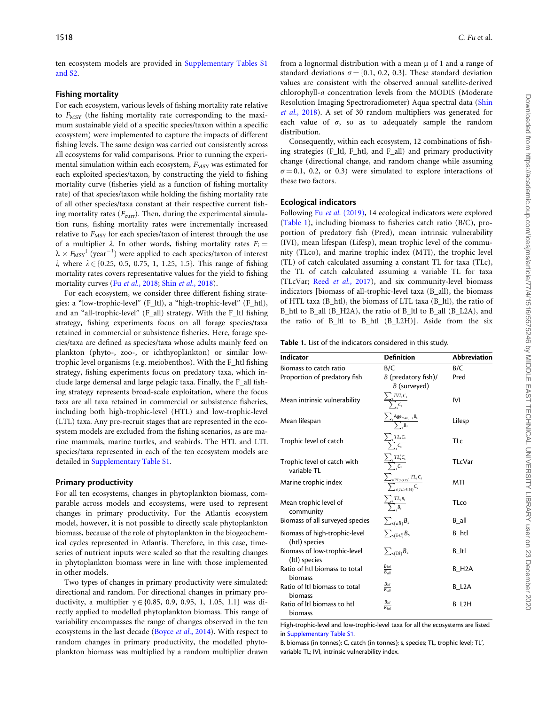<span id="page-2-0"></span>ten ecosystem models are provided in [Supplementary Tables S1](https://academic.oup.com/icesjms/article-lookup/doi/10.1093/icesjms/fsz182#supplementary-data) [and S2.](https://academic.oup.com/icesjms/article-lookup/doi/10.1093/icesjms/fsz182#supplementary-data)

#### Fishing mortality

For each ecosystem, various levels of fishing mortality rate relative to  $F_{\text{MSY}}$  (the fishing mortality rate corresponding to the maximum sustainable yield of a specific species/taxon within a specific ecosystem) were implemented to capture the impacts of different fishing levels. The same design was carried out consistently across all ecosystems for valid comparisons. Prior to running the experimental simulation within each ecosystem,  $F_{\text{MSY}}$  was estimated for each exploited species/taxon, by constructing the yield to fishing mortality curve (fisheries yield as a function of fishing mortality rate) of that species/taxon while holding the fishing mortality rate of all other species/taxa constant at their respective current fishing mortality rates  $(F_{\text{curr}})$ . Then, during the experimental simulation runs, fishing mortality rates were incrementally increased relative to  $F_{\text{MSY}}$  for each species/taxon of interest through the use of a multiplier  $\lambda$ . In other words, fishing mortality rates  $F_i =$  $\lambda \times F_{\text{MSY}}^i$  (year<sup>-1</sup>) were applied to each species/taxon of interest i, where  $\lambda \in \{0.25, 0.5, 0.75, 1, 1.25, 1.5\}$ . This range of fishing mortality rates covers representative values for the yield to fishing mortality curves (Fu et al.[, 2018](#page-15-0); Shin et al., 2018).

For each ecosystem, we consider three different fishing strategies: a "low-trophic-level" (F\_ltl), a "high-trophic-level" (F\_htl), and an "all-trophic-level" (F\_all) strategy. With the F\_ltl fishing strategy, fishing experiments focus on all forage species/taxa retained in commercial or subsistence fisheries. Here, forage species/taxa are defined as species/taxa whose adults mainly feed on plankton (phyto-, zoo-, or ichthyoplankton) or similar lowtrophic level organisms (e.g. meiobenthos). With the F\_htl fishing strategy, fishing experiments focus on predatory taxa, which include large demersal and large pelagic taxa. Finally, the F\_all fishing strategy represents broad-scale exploitation, where the focus taxa are all taxa retained in commercial or subsistence fisheries, including both high-trophic-level (HTL) and low-trophic-level (LTL) taxa. Any pre-recruit stages that are represented in the ecosystem models are excluded from the fishing scenarios, as are marine mammals, marine turtles, and seabirds. The HTL and LTL species/taxa represented in each of the ten ecosystem models are detailed in [Supplementary Table S1](https://academic.oup.com/icesjms/article-lookup/doi/10.1093/icesjms/fsz182#supplementary-data).

#### Primary productivity

For all ten ecosystems, changes in phytoplankton biomass, comparable across models and ecosystems, were used to represent changes in primary productivity. For the Atlantis ecosystem model, however, it is not possible to directly scale phytoplankton biomass, because of the role of phytoplankton in the biogeochemical cycles represented in Atlantis. Therefore, in this case, timeseries of nutrient inputs were scaled so that the resulting changes in phytoplankton biomass were in line with those implemented in other models.

Two types of changes in primary productivity were simulated: directional and random. For directional changes in primary productivity, a multiplier  $\gamma \in \{0.85, 0.9, 0.95, 1, 1.05, 1.1\}$  was directly applied to modelled phytoplankton biomass. This range of variability encompasses the range of changes observed in the ten ecosystems in the last decade [\(Boyce](#page-14-0) et al., 2014). With respect to random changes in primary productivity, the modelled phytoplankton biomass was multiplied by a random multiplier drawn

from a lognormal distribution with a mean  $\mu$  of 1 and a range of standard deviations  $\sigma = \{0.1, 0.2, 0.3\}$ . These standard deviation values are consistent with the observed annual satellite-derived chlorophyll-a concentration levels from the MODIS (Moderate Resolution Imaging Spectroradiometer) Aqua spectral data [\(Shin](#page-15-0) et al.[, 2018](#page-15-0)). A set of 30 random multipliers was generated for each value of  $\sigma$ , so as to adequately sample the random distribution.

Consequently, within each ecosystem, 12 combinations of fishing strategies (F\_ltl, F\_htl, and F\_all) and primary productivity change (directional change, and random change while assuming  $\sigma = 0.1$ , 0.2, or 0.3) were simulated to explore interactions of these two factors.

#### Ecological indicators

Following Fu et al. [\(2019\)](#page-14-0), 14 ecological indicators were explored (Table 1), including biomass to fisheries catch ratio (B/C), proportion of predatory fish (Pred), mean intrinsic vulnerability (IVI), mean lifespan (Lifesp), mean trophic level of the community (TLco), and marine trophic index (MTI), the trophic level (TL) of catch calculated assuming a constant TL for taxa (TLc), the TL of catch calculated assuming a variable TL for taxa (TLcVar; Reed et al.[, 2017](#page-15-0)), and six community-level biomass indicators [biomass of all-trophic-level taxa (B\_all), the biomass of HTL taxa (B\_htl), the biomass of LTL taxa (B\_ltl), the ratio of B\_htl to B\_all (B\_H2A), the ratio of B\_ltl to B\_all (B\_L2A), and the ratio of B\_ltl to B\_htl (B\_L2H)]. Aside from the six

Table 1. List of the indicators considered in this study.

| <b>Indicator</b>                               | <b>Definition</b>                                       | <b>Abbreviation</b> |
|------------------------------------------------|---------------------------------------------------------|---------------------|
| Biomass to catch ratio                         | B/C                                                     | B/C                 |
| Proportion of predatory fish                   | B (predatory fish)/<br>B (surveyed)                     | Pred                |
| Mean intrinsic vulnerability                   | $\frac{\sum_{s} IVI_{s}C_{s}}{\sum_{s} C_{s}}$          | IVI                 |
| Mean lifespan                                  | $\frac{\sum_{s} Age_{max, s}B_{s}}{\sum_{s} B_{s}}$     | Lifesp              |
| Trophic level of catch                         | $\frac{\sum_{s} TL_{s} C_{s}}{\sum_{s} C_{s}}$          | TLc                 |
| Trophic level of catch with<br>variable TL     | $\frac{\sum_{s} TL_{s}' C_{s}}{\sum_{s} C_{s}}$         | TLcVar              |
| Marine trophic index                           | $\frac{\sum_{s(TL>3.25)}TL_sC_s}{\sum_{s(TL>3.25)}C_s}$ | MTI                 |
| Mean trophic level of<br>community             | $\frac{\sum_{s} TL_{s}B_{s}}{\sum_{s} B_{s}}$           | <b>TLco</b>         |
| Biomass of all surveyed species                | $\sum_{s(all)} B_s$                                     | B all               |
| Biomass of high-trophic-level<br>(htl) species | $\sum_{s(htl)} B_s$                                     | B_htl               |
| Biomass of low-trophic-level<br>(Itl) species  | $\sum_{s(ltl)} B_s$                                     | B Itl               |
| Ratio of htl biomass to total<br>biomass       | $rac{B_{htl}}{B_{all}}$                                 | B H <sub>2</sub> A  |
| Ratio of Itl biomass to total<br>biomass       | $rac{B_{ltl}}{B_{all}}$                                 | B_L2A               |
| Ratio of Itl biomass to htl<br>biomass         | $rac{B_{ltl}}{B_{htl}}$                                 | B L2H               |

High-trophic-level and low-trophic-level taxa for all the ecosystems are listed in [Supplementary Table S1.](https://academic.oup.com/icesjms/article-lookup/doi/10.1093/icesjms/fsz182#supplementary-data)

B, biomass (in tonnes); C, catch (in tonnes); s, species; TL, trophic level; TL', variable TL; IVI, intrinsic vulnerability index.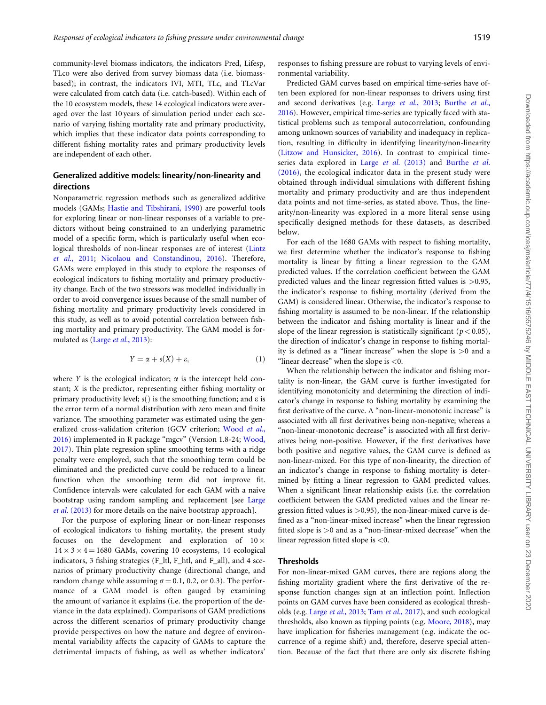<span id="page-3-0"></span>community-level biomass indicators, the indicators Pred, Lifesp, TLco were also derived from survey biomass data (i.e. biomassbased); in contrast, the indicators IVI, MTI, TLc, and TLcVar were calculated from catch data (i.e. catch-based). Within each of the 10 ecosystem models, these 14 ecological indicators were averaged over the last 10 years of simulation period under each scenario of varying fishing mortality rate and primary productivity, which implies that these indicator data points corresponding to different fishing mortality rates and primary productivity levels are independent of each other.

#### Generalized additive models: linearity/non-linearity and directions

Nonparametric regression methods such as generalized additive models (GAMs; [Hastie and Tibshirani, 1990\)](#page-14-0) are powerful tools for exploring linear or non-linear responses of a variable to predictors without being constrained to an underlying parametric model of a specific form, which is particularly useful when ecological thresholds of non-linear responses are of interest [\(Lintz](#page-15-0) et al.[, 2011](#page-15-0); [Nicolaou and Constandinou, 2016\)](#page-15-0). Therefore, GAMs were employed in this study to explore the responses of ecological indicators to fishing mortality and primary productivity change. Each of the two stressors was modelled individually in order to avoid convergence issues because of the small number of fishing mortality and primary productivity levels considered in this study, as well as to avoid potential correlation between fishing mortality and primary productivity. The GAM model is for-mulated as (Large et al.[, 2013](#page-15-0)):

$$
Y = \alpha + s(X) + \varepsilon,\tag{1}
$$

where Y is the ecological indicator;  $\alpha$  is the intercept held constant; X is the predictor, representing either fishing mortality or primary productivity level;  $s()$  is the smoothing function; and  $\varepsilon$  is the error term of a normal distribution with zero mean and finite variance. The smoothing parameter was estimated using the gen-eralized cross-validation criterion (GCV criterion; [Wood](#page-15-0) et al., [2016\)](#page-15-0) implemented in R package "mgcv" (Version 1.8-24; [Wood,](#page-15-0) [2017\)](#page-15-0). Thin plate regression spline smoothing terms with a ridge penalty were employed, such that the smoothing term could be eliminated and the predicted curve could be reduced to a linear function when the smoothing term did not improve fit. Confidence intervals were calculated for each GAM with a naive bootstrap using random sampling and replacement [see [Large](#page-15-0) et al. [\(2013\)](#page-15-0) for more details on the naive bootstrap approach].

For the purpose of exploring linear or non-linear responses of ecological indicators to fishing mortality, the present study focuses on the development and exploration of  $10 \times$  $14 \times 3 \times 4 = 1680$  GAMs, covering 10 ecosystems, 14 ecological indicators, 3 fishing strategies (F\_ltl, F\_htl, and F\_all), and 4 scenarios of primary productivity change (directional change, and random change while assuming  $\sigma = 0.1$ , 0.2, or 0.3). The performance of a GAM model is often gauged by examining the amount of variance it explains (i.e. the proportion of the deviance in the data explained). Comparisons of GAM predictions across the different scenarios of primary productivity change provide perspectives on how the nature and degree of environmental variability affects the capacity of GAMs to capture the detrimental impacts of fishing, as well as whether indicators'

responses to fishing pressure are robust to varying levels of environmental variability.

Predicted GAM curves based on empirical time-series have often been explored for non-linear responses to drivers using first and second derivatives (e.g. Large et al.[, 2013;](#page-15-0) [Burthe](#page-14-0) et al., [2016\)](#page-14-0). However, empirical time-series are typically faced with statistical problems such as temporal autocorrelation, confounding among unknown sources of variability and inadequacy in replication, resulting in difficulty in identifying linearity/non-linearity [\(Litzow and Hunsicker, 2016\)](#page-15-0). In contrast to empirical timeseries data explored in Large et al. [\(2013\)](#page-15-0) and [Burthe](#page-14-0) et al. [\(2016\)](#page-14-0), the ecological indicator data in the present study were obtained through individual simulations with different fishing mortality and primary productivity and are thus independent data points and not time-series, as stated above. Thus, the linearity/non-linearity was explored in a more literal sense using specifically designed methods for these datasets, as described below.

For each of the 1680 GAMs with respect to fishing mortality, we first determine whether the indicator's response to fishing mortality is linear by fitting a linear regression to the GAM predicted values. If the correlation coefficient between the GAM predicted values and the linear regression fitted values is >0.95, the indicator's response to fishing mortality (derived from the GAM) is considered linear. Otherwise, the indicator's response to fishing mortality is assumed to be non-linear. If the relationship between the indicator and fishing mortality is linear and if the slope of the linear regression is statistically significant ( $p < 0.05$ ), the direction of indicator's change in response to fishing mortality is defined as a "linear increase" when the slope is >0 and a "linear decrease" when the slope is  $<$ 0.

When the relationship between the indicator and fishing mortality is non-linear, the GAM curve is further investigated for identifying monotonicity and determining the direction of indicator's change in response to fishing mortality by examining the first derivative of the curve. A "non-linear-monotonic increase" is associated with all first derivatives being non-negative; whereas a "non-linear-monotonic decrease" is associated with all first derivatives being non-positive. However, if the first derivatives have both positive and negative values, the GAM curve is defined as non-linear-mixed. For this type of non-linearity, the direction of an indicator's change in response to fishing mortality is determined by fitting a linear regression to GAM predicted values. When a significant linear relationship exists (i.e. the correlation coefficient between the GAM predicted values and the linear regression fitted values is  $>0.95$ ), the non-linear-mixed curve is defined as a "non-linear-mixed increase" when the linear regression fitted slope is >0 and as a "non-linear-mixed decrease" when the linear regression fitted slope is <0.

#### **Thresholds**

For non-linear-mixed GAM curves, there are regions along the fishing mortality gradient where the first derivative of the response function changes sign at an inflection point. Inflection points on GAM curves have been considered as ecological thresholds (e.g. Large et al.[, 2013](#page-15-0); Tam et al.[, 2017](#page-15-0)), and such ecological thresholds, also known as tipping points (e.g. [Moore, 2018\)](#page-15-0), may have implication for fisheries management (e.g. indicate the occurrence of a regime shift) and, therefore, deserve special attention. Because of the fact that there are only six discrete fishing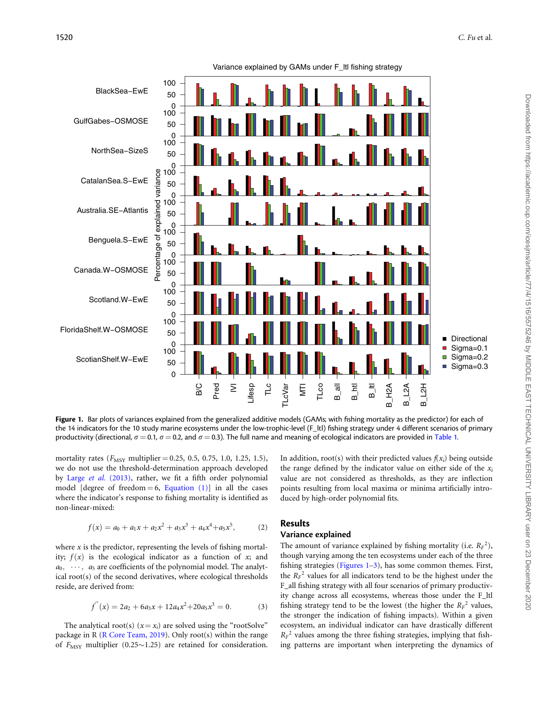<span id="page-4-0"></span>

Figure 1. Bar plots of variances explained from the generalized additive models (GAMs; with fishing mortality as the predictor) for each of the 14 indicators for the 10 study marine ecosystems under the low-trophic-level (F\_ltl) fishing strategy under 4 different scenarios of primary productivity (directional,  $\sigma = 0.1$ ,  $\sigma = 0.2$ , and  $\sigma = 0.3$ ). The full name and meaning of ecological indicators are provided in [Table 1.](#page-2-0)

mortality rates ( $F_{\text{MSY}}$  multiplier = 0.25, 0.5, 0.75, 1.0, 1.25, 1.5), we do not use the threshold-determination approach developed by Large et al. [\(2013\),](#page-15-0) rather, we fit a fifth order polynomial model [degree of freedom  $= 6$ , [Equation \(1\)\]](#page-3-0) in all the cases where the indicator's response to fishing mortality is identified as non-linear-mixed:

$$
f(x) = a_0 + a_1x + a_2x^2 + a_3x^3 + a_4x^4 + a_5x^5,
$$
 (2)

where  $x$  is the predictor, representing the levels of fishing mortality;  $f(x)$  is the ecological indicator as a function of x; and  $a_0, \cdots, a_5$  are coefficients of the polynomial model. The analytical root(s) of the second derivatives, where ecological thresholds reside, are derived from:

$$
f^{''}(x) = 2a_2 + 6a_3x + 12a_4x^2 + 20a_5x^3 = 0.
$$
 (3)

The analytical root(s)  $(x = x_i)$  are solved using the "rootSolve" package in R ([R Core Team, 2019\)](#page-15-0). Only root(s) within the range of  $F_{\text{MSY}}$  multiplier (0.25~1.25) are retained for consideration.

In addition, root(s) with their predicted values  $f(x_i)$  being outside the range defined by the indicator value on either side of the  $x_i$ value are not considered as thresholds, as they are inflection points resulting from local maxima or minima artificially introduced by high-order polynomial fits.

#### Results

#### Variance explained

The amount of variance explained by fishing mortality (i.e.  $R_F^2$ ), though varying among the ten ecosystems under each of the three fishing strategies (Figures 1–[3](#page-6-0)), has some common themes. First, the  $R_F^2$  values for all indicators tend to be the highest under the F\_all fishing strategy with all four scenarios of primary productivity change across all ecosystems, whereas those under the F\_ltl fishing strategy tend to be the lowest (the higher the  $R_F^2$  values, the stronger the indication of fishing impacts). Within a given ecosystem, an individual indicator can have drastically different  $R_F^2$  values among the three fishing strategies, implying that fishing patterns are important when interpreting the dynamics of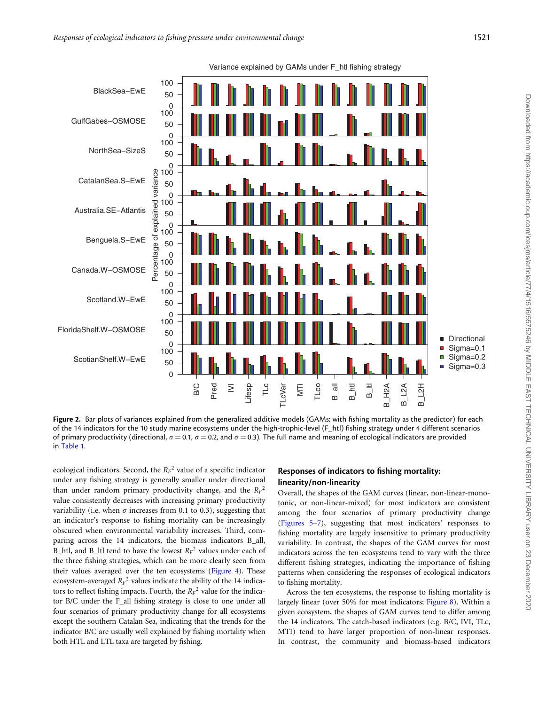

Figure 2. Bar plots of variances explained from the generalized additive models (GAMs; with fishing mortality as the predictor) for each of the 14 indicators for the 10 study marine ecosystems under the high-trophic-level (F\_htl) fishing strategy under 4 different scenarios of primary productivity (directional,  $\sigma = 0.1$ ,  $\sigma = 0.2$ , and  $\sigma = 0.3$ ). The full name and meaning of ecological indicators are provided in [Table 1](#page-2-0).

ecological indicators. Second, the  $R_F^2$  value of a specific indicator under any fishing strategy is generally smaller under directional than under random primary productivity change, and the  $R_F^2$ value consistently decreases with increasing primary productivity variability (i.e. when  $\sigma$  increases from 0.1 to 0.3), suggesting that an indicator's response to fishing mortality can be increasingly obscured when environmental variability increases. Third, comparing across the 14 indicators, the biomass indicators B\_all, B\_htl, and B\_ltl tend to have the lowest  $R_F^2$  values under each of the three fishing strategies, which can be more clearly seen from their values averaged over the ten ecosystems [\(Figure 4\)](#page-6-0). These ecosystem-averaged  $R_F^2$  values indicate the ability of the 14 indicators to reflect fishing impacts. Fourth, the  $R_F^2$  value for the indicator B/C under the F\_all fishing strategy is close to one under all four scenarios of primary productivity change for all ecosystems except the southern Catalan Sea, indicating that the trends for the indicator B/C are usually well explained by fishing mortality when both HTL and LTL taxa are targeted by fishing.

#### Responses of indicators to fishing mortality: linearity/non-linearity

Overall, the shapes of the GAM curves (linear, non-linear-monotonic, or non-linear-mixed) for most indicators are consistent among the four scenarios of primary productivity change [\(Figures 5](#page-7-0)–[7](#page-9-0)), suggesting that most indicators' responses to fishing mortality are largely insensitive to primary productivity variability. In contrast, the shapes of the GAM curves for most indicators across the ten ecosystems tend to vary with the three different fishing strategies, indicating the importance of fishing patterns when considering the responses of ecological indicators to fishing mortality.

Across the ten ecosystems, the response to fishing mortality is largely linear (over 50% for most indicators; [Figure 8\)](#page-10-0). Within a given ecosystem, the shapes of GAM curves tend to differ among the 14 indicators. The catch-based indicators (e.g. B/C, IVI, TLc, MTI) tend to have larger proportion of non-linear responses. In contrast, the community and biomass-based indicators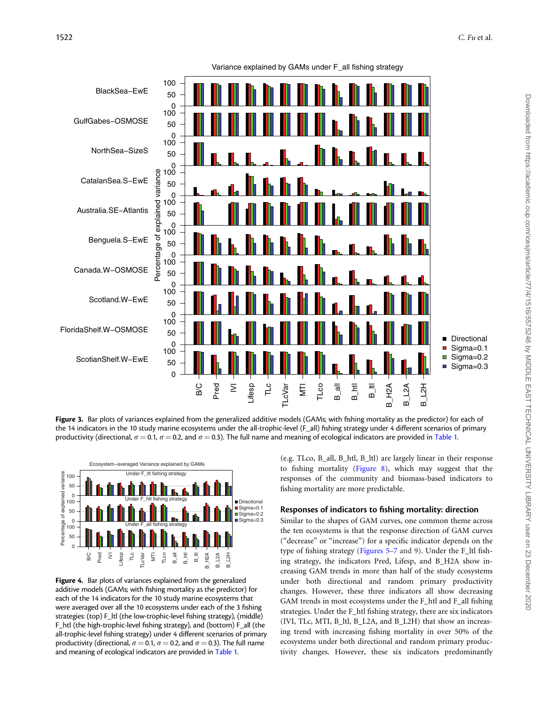<span id="page-6-0"></span>

Figure 3. Bar plots of variances explained from the generalized additive models (GAMs; with fishing mortality as the predictor) for each of the 14 indicators in the 10 study marine ecosystems under the all-trophic-level (F\_all) fishing strategy under 4 different scenarios of primary productivity (directional,  $\sigma = 0.1$ ,  $\sigma = 0.2$ , and  $\sigma = 0.3$ ). The full name and meaning of ecological indicators are provided in [Table 1.](#page-2-0)



Figure 4. Bar plots of variances explained from the generalized additive models (GAMs; with fishing mortality as the predictor) for each of the 14 indicators for the 10 study marine ecosystems that were averaged over all the 10 ecosystems under each of the 3 fishing strategies: (top) F\_ltl (the low-trophic-level fishing strategy), (middle) F\_htl (the high-trophic-level fishing strategy), and (bottom) F\_all (the all-trophic-level fishing strategy) under 4 different scenarios of primary productivity (directional,  $\sigma = 0.1$ ,  $\sigma = 0.2$ , and  $\sigma = 0.3$ ). The full name and meaning of ecological indicators are provided in [Table 1](#page-2-0).

(e.g. TLco, B\_all, B\_htl, B\_ltl) are largely linear in their response to fishing mortality [\(Figure 8\)](#page-10-0), which may suggest that the responses of the community and biomass-based indicators to fishing mortality are more predictable.

#### Responses of indicators to fishing mortality: direction

Similar to the shapes of GAM curves, one common theme across the ten ecosystems is that the response direction of GAM curves ("decrease" or "increase") for a specific indicator depends on the type of fishing strategy ([Figures 5](#page-7-0)–[7](#page-11-0) and 9). Under the F\_ltl fishing strategy, the indicators Pred, Lifesp, and B\_H2A show increasing GAM trends in more than half of the study ecosystems under both directional and random primary productivity changes. However, these three indicators all show decreasing GAM trends in most ecosystems under the F\_htl and F\_all fishing strategies. Under the F\_htl fishing strategy, there are six indicators (IVI, TLc, MTI, B\_ltl, B\_L2A, and B\_L2H) that show an increasing trend with increasing fishing mortality in over 50% of the ecosystems under both directional and random primary productivity changes. However, these six indicators predominantly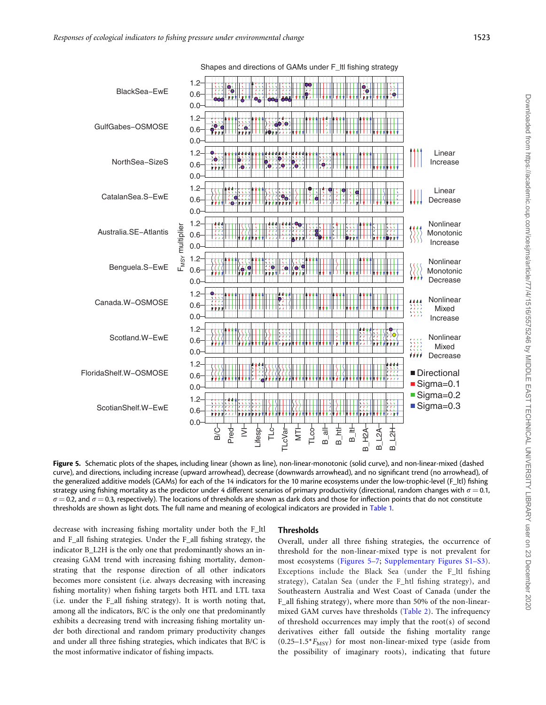<span id="page-7-0"></span>

Figure 5. Schematic plots of the shapes, including linear (shown as line), non-linear-monotonic (solid curve), and non-linear-mixed (dashed curve), and directions, including increase (upward arrowhead), decrease (downwards arrowhead), and no significant trend (no arrowhead), of the generalized additive models (GAMs) for each of the 14 indicators for the 10 marine ecosystems under the low-trophic-level (F\_ltl) fishing strategy using fishing mortality as the predictor under 4 different scenarios of primary productivity (directional, random changes with  $\sigma = 0.1$ ,  $\sigma$  = 0.2, and  $\sigma$  = 0.3, respectively). The locations of thresholds are shown as dark dots and those for inflection points that do not constitute thresholds are shown as light dots. The full name and meaning of ecological indicators are provided in [Table 1](#page-2-0).

decrease with increasing fishing mortality under both the F\_ltl and F\_all fishing strategies. Under the F\_all fishing strategy, the indicator B\_L2H is the only one that predominantly shows an increasing GAM trend with increasing fishing mortality, demonstrating that the response direction of all other indicators becomes more consistent (i.e. always decreasing with increasing fishing mortality) when fishing targets both HTL and LTL taxa (i.e. under the F\_all fishing strategy). It is worth noting that, among all the indicators, B/C is the only one that predominantly exhibits a decreasing trend with increasing fishing mortality under both directional and random primary productivity changes and under all three fishing strategies, which indicates that B/C is the most informative indicator of fishing impacts.

#### **Thresholds**

Overall, under all three fishing strategies, the occurrence of threshold for the non-linear-mixed type is not prevalent for most ecosystems (Figures 5[–7;](#page-9-0) [Supplementary Figures S1–S3](https://academic.oup.com/icesjms/article-lookup/doi/10.1093/icesjms/fsz182#supplementary-data)). Exceptions include the Black Sea (under the F\_ltl fishing strategy), Catalan Sea (under the F\_htl fishing strategy), and Southeastern Australia and West Coast of Canada (under the F\_all fishing strategy), where more than 50% of the non-linearmixed GAM curves have thresholds [\(Table 2](#page-10-0)). The infrequency of threshold occurrences may imply that the root(s) of second derivatives either fall outside the fishing mortality range  $(0.25-1.5*F_{MSY})$  for most non-linear-mixed type (aside from the possibility of imaginary roots), indicating that future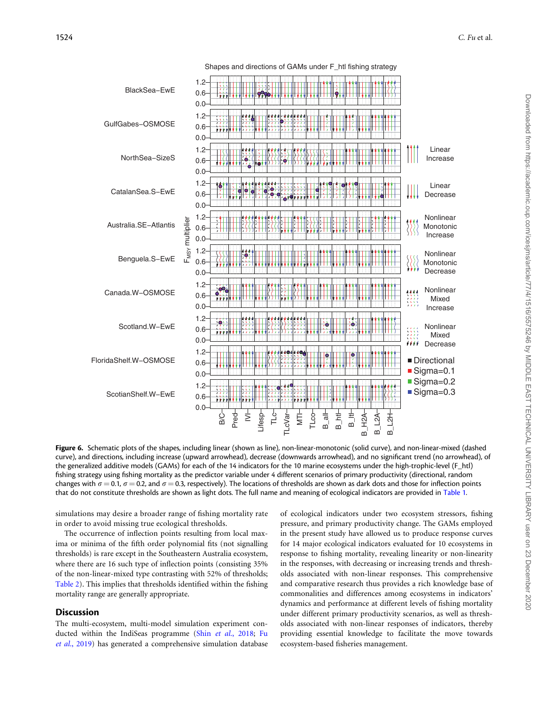

Figure 6. Schematic plots of the shapes, including linear (shown as line), non-linear-monotonic (solid curve), and non-linear-mixed (dashed curve), and directions, including increase (upward arrowhead), decrease (downwards arrowhead), and no significant trend (no arrowhead), of the generalized additive models (GAMs) for each of the 14 indicators for the 10 marine ecosystems under the high-trophic-level (F\_htl) fishing strategy using fishing mortality as the predictor variable under 4 different scenarios of primary productivity (directional, random changes with  $\sigma = 0.1$ ,  $\sigma = 0.2$ , and  $\sigma = 0.3$ , respectively). The locations of thresholds are shown as dark dots and those for inflection points that do not constitute thresholds are shown as light dots. The full name and meaning of ecological indicators are provided in [Table 1.](#page-2-0)

simulations may desire a broader range of fishing mortality rate in order to avoid missing true ecological thresholds.

The occurrence of inflection points resulting from local maxima or minima of the fifth order polynomial fits (not signalling thresholds) is rare except in the Southeastern Australia ecosystem, where there are 16 such type of inflection points (consisting 35% of the non-linear-mixed type contrasting with 52% of thresholds; [Table 2\)](#page-10-0). This implies that thresholds identified within the fishing mortality range are generally appropriate.

#### Discussion

The multi-ecosystem, multi-model simulation experiment con-ducted within the IndiSeas programme (Shin et al.[, 2018](#page-15-0); [Fu](#page-14-0) et al.[, 2019\)](#page-14-0) has generated a comprehensive simulation database of ecological indicators under two ecosystem stressors, fishing pressure, and primary productivity change. The GAMs employed in the present study have allowed us to produce response curves for 14 major ecological indicators evaluated for 10 ecosystems in response to fishing mortality, revealing linearity or non-linearity in the responses, with decreasing or increasing trends and thresholds associated with non-linear responses. This comprehensive and comparative research thus provides a rich knowledge base of commonalities and differences among ecosystems in indicators' dynamics and performance at different levels of fishing mortality under different primary productivity scenarios, as well as thresholds associated with non-linear responses of indicators, thereby providing essential knowledge to facilitate the move towards ecosystem-based fisheries management.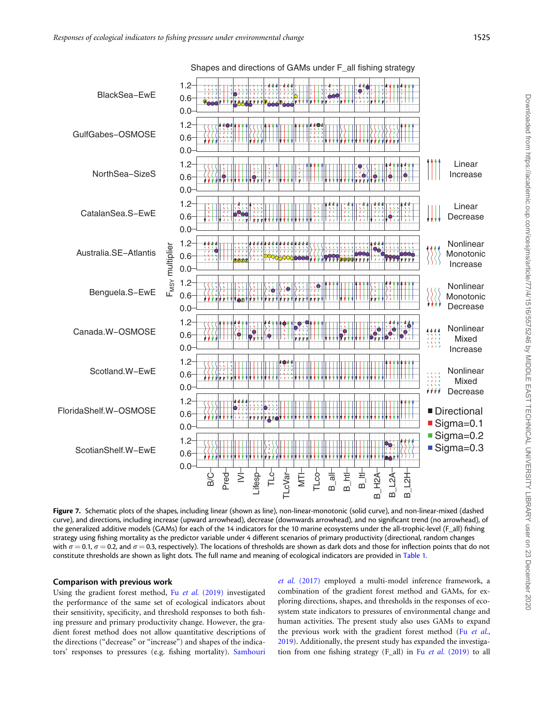<span id="page-9-0"></span>

Figure 7. Schematic plots of the shapes, including linear (shown as line), non-linear-monotonic (solid curve), and non-linear-mixed (dashed curve), and directions, including increase (upward arrowhead), decrease (downwards arrowhead), and no significant trend (no arrowhead), of the generalized additive models (GAMs) for each of the 14 indicators for the 10 marine ecosystems under the all-trophic-level (F\_all) fishing strategy using fishing mortality as the predictor variable under 4 different scenarios of primary productivity (directional, random changes with  $\sigma$  = 0.1,  $\sigma$  = 0.2, and  $\sigma$  = 0.3, respectively). The locations of thresholds are shown as dark dots and those for inflection points that do not constitute thresholds are shown as light dots. The full name and meaning of ecological indicators are provided in [Table 1.](#page-2-0)

#### Comparison with previous work

Using the gradient forest method, Fu et al. [\(2019\)](#page-14-0) investigated the performance of the same set of ecological indicators about their sensitivity, specificity, and threshold responses to both fishing pressure and primary productivity change. However, the gradient forest method does not allow quantitative descriptions of the directions ("decrease" or "increase") and shapes of the indicators' responses to pressures (e.g. fishing mortality). [Samhouri](#page-15-0)

et al. [\(2017\)](#page-15-0) employed a multi-model inference framework, a combination of the gradient forest method and GAMs, for exploring directions, shapes, and thresholds in the responses of ecosystem state indicators to pressures of environmental change and human activities. The present study also uses GAMs to expand the previous work with the gradient forest method (Fu [et al.](#page-14-0), [2019\)](#page-14-0). Additionally, the present study has expanded the investigation from one fishing strategy (F\_all) in Fu et al. [\(2019\)](#page-14-0) to all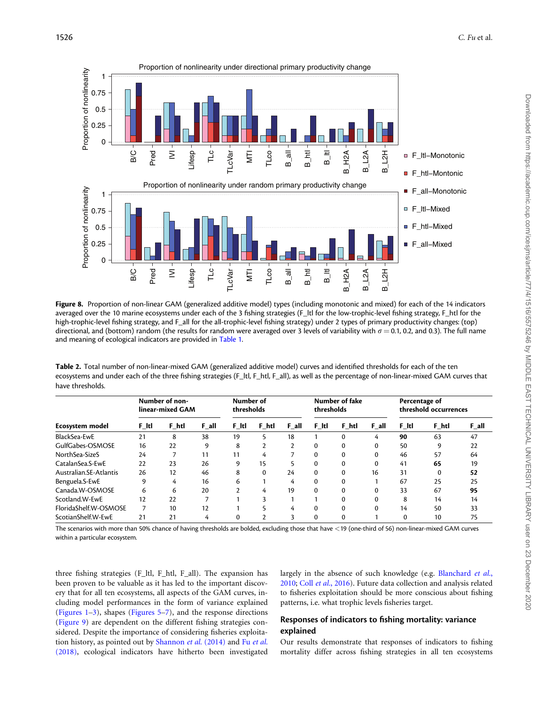<span id="page-10-0"></span>

Figure 8. Proportion of non-linear GAM (generalized additive model) types (including monotonic and mixed) for each of the 14 indicators averaged over the 10 marine ecosystems under each of the 3 fishing strategies (F\_ltl for the low-trophic-level fishing strategy, F\_htl for the high-trophic-level fishing strategy, and F\_all for the all-trophic-level fishing strategy) under 2 types of primary productivity changes: (top) directional, and (bottom) random (the results for random were averaged over 3 levels of variability with  $\sigma = 0.1$ , 0.2, and 0.3). The full name and meaning of ecological indicators are provided in [Table 1](#page-2-0).

| Table 2. Total number of non-linear-mixed GAM (generalized additive model) curves and identified thresholds for each of the ten                |
|------------------------------------------------------------------------------------------------------------------------------------------------|
| ecosystems and under each of the three fishing strategies (F_ltl, F_htl, F_all), as well as the percentage of non-linear-mixed GAM curves that |
| have thresholds.                                                                                                                               |

| Ecosystem model        | Number of non-<br>linear-mixed GAM |       | Number of<br>thresholds |              |          | Number of fake<br>thresholds |          |          | Percentage of<br>threshold occurrences |          |       |       |
|------------------------|------------------------------------|-------|-------------------------|--------------|----------|------------------------------|----------|----------|----------------------------------------|----------|-------|-------|
|                        | F Itl                              | F htl | $F$ all                 | F Itl        | F htl    | F all                        | F Itl    | F htl    | F all                                  | F Itl    | F htl | F_all |
| BlackSea-EwE           | 21                                 | 8     | 38                      | 19           |          | 18                           |          | $\Omega$ | 4                                      | 90       | 63    | 47    |
| GulfGabes-OSMOSE       | 16                                 | 22    | 9                       | 8            |          |                              | $\Omega$ | $\Omega$ | 0                                      | 50       | 9     | 22    |
| NorthSea-SizeS         | 24                                 |       | 11                      | 11           | 4        |                              | 0        |          |                                        | 46       | 57    | 64    |
| CatalanSea.S-EwE       | 22                                 | 23    | 26                      | 9            | 15       |                              | $\Omega$ | $\Omega$ | 0                                      | 41       | 65    | 19    |
| Australian.SE-Atlantis | 26                                 | 12    | 46                      | 8            | $\Omega$ | 24                           | 0        | $\Omega$ | 16                                     | 31       | 0     | 52    |
| Benguela.S-EwE         | q                                  | 4     | 16                      | 6            |          | 4                            | $\Omega$ | $\Omega$ |                                        | 67       | 25    | 25    |
| Canada.W-OSMOSE        | 6                                  | 6     | 20                      |              | 4        | 19                           | $\Omega$ | $\Omega$ | $\Omega$                               | 33       | 67    | 95    |
| Scotland.W-EwE         | 12                                 | 22    |                         |              |          |                              |          | $\Omega$ |                                        | 8        | 14    | 14    |
| FloridaShelf.W-OSMOSE  |                                    | 10    | 12                      |              |          | 4                            | $\Omega$ | $\Omega$ | $\Omega$                               | 14       | 50    | 33    |
| ScotianShelf.W-EwE     | 21                                 | 21    | 4                       | $\mathbf{0}$ |          |                              | $\Omega$ | $\Omega$ |                                        | $\Omega$ | 10    | 75    |

The scenarios with more than 50% chance of having thresholds are bolded, excluding those that have <19 (one-third of 56) non-linear-mixed GAM curves within a particular ecosystem.

three fishing strategies (F\_ltl, F\_htl, F\_all). The expansion has been proven to be valuable as it has led to the important discovery that for all ten ecosystems, all aspects of the GAM curves, including model performances in the form of variance explained ([Figures 1](#page-4-0)–[3](#page-6-0)), shapes [\(Figures 5](#page-7-0)[–7\)](#page-9-0), and the response directions ([Figure 9](#page-11-0)) are dependent on the different fishing strategies considered. Despite the importance of considering fisheries exploitation history, as pointed out by [Shannon](#page-15-0) et al. (2014) and Fu [et al.](#page-14-0) [\(2018\)](#page-14-0), ecological indicators have hitherto been investigated

largely in the absence of such knowledge (e.g. [Blanchard](#page-14-0) et al., [2010;](#page-14-0) Coll et al.[, 2016\)](#page-14-0). Future data collection and analysis related to fisheries exploitation should be more conscious about fishing patterns, i.e. what trophic levels fisheries target.

#### Responses of indicators to fishing mortality: variance explained

Our results demonstrate that responses of indicators to fishing mortality differ across fishing strategies in all ten ecosystems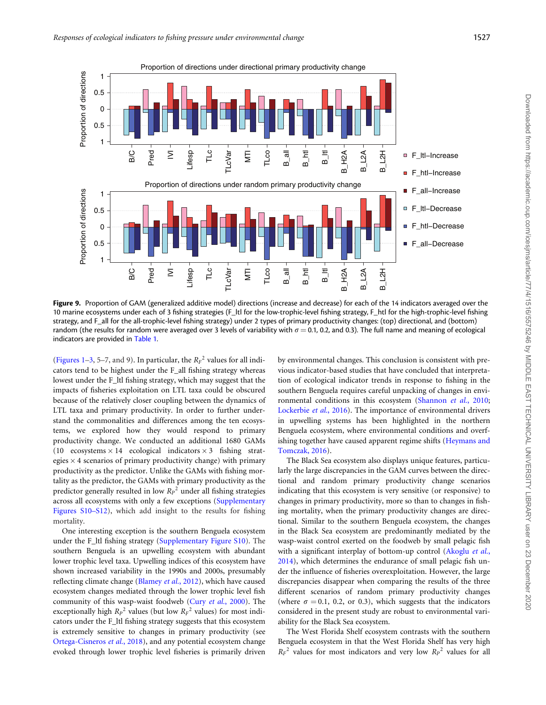<span id="page-11-0"></span>

Figure 9. Proportion of GAM (generalized additive model) directions (increase and decrease) for each of the 14 indicators averaged over the 10 marine ecosystems under each of 3 fishing strategies (F\_ltl for the low-trophic-level fishing strategy, F\_htl for the high-trophic-level fishing strategy, and F\_all for the all-trophic-level fishing strategy) under 2 types of primary productivity changes: (top) directional, and (bottom) random (the results for random were averaged over 3 levels of variability with  $\sigma = 0.1$ , 0.2, and 0.3). The full name and meaning of ecological indicators are provided in [Table 1.](#page-2-0)

([Figures 1–](#page-4-0)3, 5–7, and 9). In particular, the  $R_F^2$  values for all indicators tend to be highest under the F\_all fishing strategy whereas lowest under the F\_ltl fishing strategy, which may suggest that the impacts of fisheries exploitation on LTL taxa could be obscured because of the relatively closer coupling between the dynamics of LTL taxa and primary productivity. In order to further understand the commonalities and differences among the ten ecosystems, we explored how they would respond to primary productivity change. We conducted an additional 1680 GAMs (10 ecosystems  $\times$  14 ecological indicators  $\times$  3 fishing strategies  $\times$  4 scenarios of primary productivity change) with primary productivity as the predictor. Unlike the GAMs with fishing mortality as the predictor, the GAMs with primary productivity as the predictor generally resulted in low  $R_P^2$  under all fishing strategies across all ecosystems with only a few exceptions ([Supplementary](https://academic.oup.com/icesjms/article-lookup/doi/10.1093/icesjms/fsz182#supplementary-data) [Figures S10–S12](https://academic.oup.com/icesjms/article-lookup/doi/10.1093/icesjms/fsz182#supplementary-data)), which add insight to the results for fishing mortality.

One interesting exception is the southern Benguela ecosystem under the F\_ltl fishing strategy ([Supplementary Figure S10](https://academic.oup.com/icesjms/article-lookup/doi/10.1093/icesjms/fsz182#supplementary-data)). The southern Benguela is an upwelling ecosystem with abundant lower trophic level taxa. Upwelling indices of this ecosystem have shown increased variability in the 1990s and 2000s, presumably reflecting climate change ([Blamey](#page-14-0) et al., 2012), which have caused ecosystem changes mediated through the lower trophic level fish community of this wasp-waist foodweb (Cury et al.[, 2000](#page-14-0)). The exceptionally high  $R_P^2$  values (but low  $R_F^2$  values) for most indicators under the F\_ltl fishing strategy suggests that this ecosystem is extremely sensitive to changes in primary productivity (see [Ortega-Cisneros](#page-15-0) et al., 2018), and any potential ecosystem change evoked through lower trophic level fisheries is primarily driven by environmental changes. This conclusion is consistent with previous indicator-based studies that have concluded that interpretation of ecological indicator trends in response to fishing in the southern Benguela requires careful unpacking of changes in envi-ronmental conditions in this ecosystem ([Shannon](#page-15-0) et al., 2010; [Lockerbie](#page-15-0) et al., 2016). The importance of environmental drivers in upwelling systems has been highlighted in the northern Benguela ecosystem, where environmental conditions and overfishing together have caused apparent regime shifts [\(Heymans and](#page-14-0) [Tomczak, 2016\)](#page-14-0).

The Black Sea ecosystem also displays unique features, particularly the large discrepancies in the GAM curves between the directional and random primary productivity change scenarios indicating that this ecosystem is very sensitive (or responsive) to changes in primary productivity, more so than to changes in fishing mortality, when the primary productivity changes are directional. Similar to the southern Benguela ecosystem, the changes in the Black Sea ecosystem are predominantly mediated by the wasp-waist control exerted on the foodweb by small pelagic fish with a significant interplay of bottom-up control [\(Akoglu](#page-13-0) et al., [2014\)](#page-13-0), which determines the endurance of small pelagic fish under the influence of fisheries overexploitation. However, the large discrepancies disappear when comparing the results of the three different scenarios of random primary productivity changes (where  $\sigma = 0.1$ , 0.2, or 0.3), which suggests that the indicators considered in the present study are robust to environmental variability for the Black Sea ecosystem.

The West Florida Shelf ecosystem contrasts with the southern Benguela ecosystem in that the West Florida Shelf has very high  $R_F^2$  values for most indicators and very low  $R_P^2$  values for all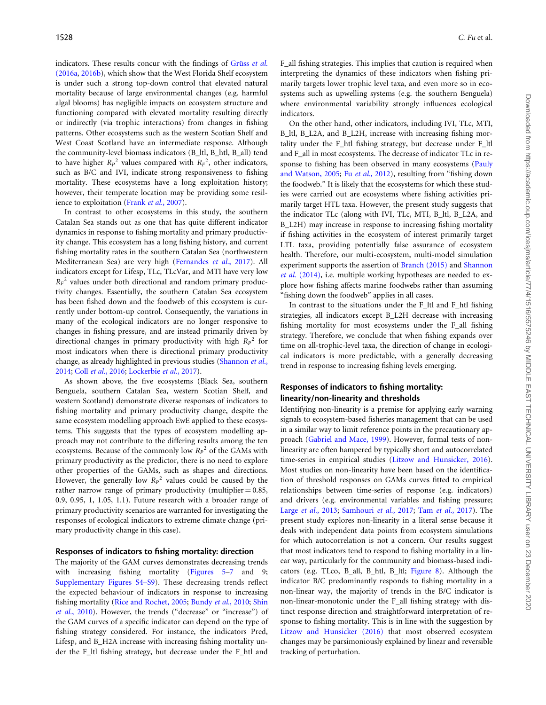indicators. These results concur with the findings of Grüss et al. [\(2016a,](#page-14-0) [2016b\)](#page-14-0), which show that the West Florida Shelf ecosystem is under such a strong top-down control that elevated natural mortality because of large environmental changes (e.g. harmful algal blooms) has negligible impacts on ecosystem structure and functioning compared with elevated mortality resulting directly or indirectly (via trophic interactions) from changes in fishing patterns. Other ecosystems such as the western Scotian Shelf and West Coast Scotland have an intermediate response. Although the community-level biomass indicators (B\_ltl, B\_htl, B\_all) tend to have higher  $R_P^2$  values compared with  $R_F^2$ , other indicators, such as B/C and IVI, indicate strong responsiveness to fishing mortality. These ecosystems have a long exploitation history; however, their temperate location may be providing some resilience to exploitation (Frank et al.[, 2007](#page-14-0)).

In contrast to other ecosystems in this study, the southern Catalan Sea stands out as one that has quite different indicator dynamics in response to fishing mortality and primary productivity change. This ecosystem has a long fishing history, and current fishing mortality rates in the southern Catalan Sea (northwestern Mediterranean Sea) are very high [\(Fernandes](#page-14-0) et al., 2017). All indicators except for Lifesp, TLc, TLcVar, and MTI have very low  $R_F^2$  values under both directional and random primary productivity changes. Essentially, the southern Catalan Sea ecosystem has been fished down and the foodweb of this ecosystem is currently under bottom-up control. Consequently, the variations in many of the ecological indicators are no longer responsive to changes in fishing pressure, and are instead primarily driven by directional changes in primary productivity with high  $R_P^2$  for most indicators when there is directional primary productivity change, as already highlighted in previous studies ([Shannon](#page-15-0) et al., [2014;](#page-15-0) Coll et al.[, 2016](#page-14-0); [Lockerbie](#page-15-0) et al., 2017).

As shown above, the five ecosystems (Black Sea, southern Benguela, southern Catalan Sea, western Scotian Shelf, and western Scotland) demonstrate diverse responses of indicators to fishing mortality and primary productivity change, despite the same ecosystem modelling approach EwE applied to these ecosystems. This suggests that the types of ecosystem modelling approach may not contribute to the differing results among the ten ecosystems. Because of the commonly low  $R_P^2$  of the GAMs with primary productivity as the predictor, there is no need to explore other properties of the GAMs, such as shapes and directions. However, the generally low  $R_P^2$  values could be caused by the rather narrow range of primary productivity (multiplier  $= 0.85$ , 0.9, 0.95, 1, 1.05, 1.1). Future research with a broader range of primary productivity scenarios are warranted for investigating the responses of ecological indicators to extreme climate change (primary productivity change in this case).

#### Responses of indicators to fishing mortality: direction

The majority of the GAM curves demonstrates decreasing trends with increasing fishing mortality [\(Figures 5](#page-7-0)–[7](#page-11-0) and 9; [Supplementary Figures S4–S9\)](https://academic.oup.com/icesjms/article-lookup/doi/10.1093/icesjms/fsz182#supplementary-data). These decreasing trends reflect the expected behaviour of indicators in response to increasing fishing mortality [\(Rice and Rochet, 2005;](#page-15-0) [Bundy](#page-14-0) et al., 2010; [Shin](#page-15-0) et al.[, 2010\)](#page-15-0). However, the trends ("decrease" or "increase") of the GAM curves of a specific indicator can depend on the type of fishing strategy considered. For instance, the indicators Pred, Lifesp, and B\_H2A increase with increasing fishing mortality under the F\_ltl fishing strategy, but decrease under the F\_htl and

F\_all fishing strategies. This implies that caution is required when interpreting the dynamics of these indicators when fishing primarily targets lower trophic level taxa, and even more so in ecosystems such as upwelling systems (e.g. the southern Benguela) where environmental variability strongly influences ecological indicators.

On the other hand, other indicators, including IVI, TLc, MTI, B ltl, B L2A, and B L2H, increase with increasing fishing mortality under the F\_htl fishing strategy, but decrease under F\_ltl and F\_all in most ecosystems. The decrease of indicator TLc in response to fishing has been observed in many ecosystems ([Pauly](#page-15-0) [and Watson, 2005](#page-15-0); Fu et al.[, 2012\)](#page-14-0), resulting from "fishing down the foodweb." It is likely that the ecosystems for which these studies were carried out are ecosystems where fishing activities primarily target HTL taxa. However, the present study suggests that the indicator TLc (along with IVI, TLc, MTI, B\_ltl, B\_L2A, and B L2H) may increase in response to increasing fishing mortality if fishing activities in the ecosystem of interest primarily target LTL taxa, providing potentially false assurance of ecosystem health. Therefore, our multi-ecosystem, multi-model simulation experiment supports the assertion of [Branch \(2015\)](#page-14-0) and [Shannon](#page-15-0) et al. [\(2014\),](#page-15-0) i.e. multiple working hypotheses are needed to explore how fishing affects marine foodwebs rather than assuming "fishing down the foodweb" applies in all cases.

In contrast to the situations under the F\_ltl and F\_htl fishing strategies, all indicators except B\_L2H decrease with increasing fishing mortality for most ecosystems under the F\_all fishing strategy. Therefore, we conclude that when fishing expands over time on all-trophic-level taxa, the direction of change in ecological indicators is more predictable, with a generally decreasing trend in response to increasing fishing levels emerging.

#### Responses of indicators to fishing mortality: linearity/non-linearity and thresholds

Identifying non-linearity is a premise for applying early warning signals to ecosystem-based fisheries management that can be used in a similar way to limit reference points in the precautionary approach ([Gabriel and Mace, 1999](#page-14-0)). However, formal tests of nonlinearity are often hampered by typically short and autocorrelated time-series in empirical studies ([Litzow and Hunsicker, 2016](#page-15-0)). Most studies on non-linearity have been based on the identification of threshold responses on GAMs curves fitted to empirical relationships between time-series of response (e.g. indicators) and drivers (e.g. environmental variables and fishing pressure; Large et al.[, 2013](#page-15-0); [Samhouri](#page-15-0) et al., 2017; Tam et al.[, 2017](#page-15-0)). The present study explores non-linearity in a literal sense because it deals with independent data points from ecosystem simulations for which autocorrelation is not a concern. Our results suggest that most indicators tend to respond to fishing mortality in a linear way, particularly for the community and biomass-based indicators (e.g. TLco, B\_all, B\_htl, B\_ltl; [Figure 8\)](#page-10-0). Although the indicator B/C predominantly responds to fishing mortality in a non-linear way, the majority of trends in the B/C indicator is non-linear-monotonic under the F\_all fishing strategy with distinct response direction and straightforward interpretation of response to fishing mortality. This is in line with the suggestion by [Litzow and Hunsicker \(2016\)](#page-15-0) that most observed ecosystem changes may be parsimoniously explained by linear and reversible tracking of perturbation.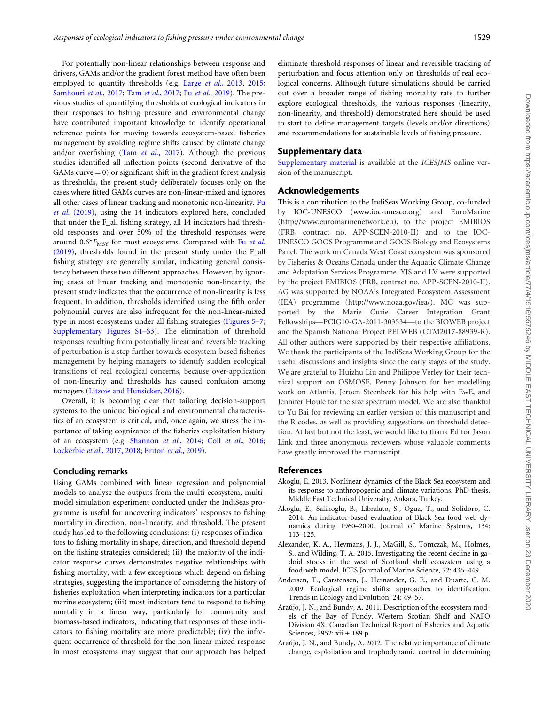<span id="page-13-0"></span>For potentially non-linear relationships between response and

drivers, GAMs and/or the gradient forest method have often been employed to quantify thresholds (e.g. Large et al.[, 2013](#page-15-0), [2015;](#page-15-0) [Samhouri](#page-15-0) et al., 2017; Tam et al.[, 2017](#page-15-0); Fu et al.[, 2019\)](#page-14-0). The previous studies of quantifying thresholds of ecological indicators in their responses to fishing pressure and environmental change have contributed important knowledge to identify operational reference points for moving towards ecosystem-based fisheries management by avoiding regime shifts caused by climate change and/or overfishing (Tam et al.[, 2017\)](#page-15-0). Although the previous studies identified all inflection points (second derivative of the GAMs curve  $= 0$ ) or significant shift in the gradient forest analysis as thresholds, the present study deliberately focuses only on the cases where fitted GAMs curves are non-linear-mixed and ignores all other cases of linear tracking and monotonic non-linearity. [Fu](#page-14-0) et al. [\(2019\)](#page-14-0), using the 14 indicators explored here, concluded that under the F\_all fishing strategy, all 14 indicators had threshold responses and over 50% of the threshold responses were around  $0.6*F_{\text{MSY}}$  for most ecosystems. Compared with Fu [et al.](#page-14-0) [\(2019\)](#page-14-0), thresholds found in the present study under the F\_all fishing strategy are generally similar, indicating general consistency between these two different approaches. However, by ignoring cases of linear tracking and monotonic non-linearity, the present study indicates that the occurrence of non-linearity is less frequent. In addition, thresholds identified using the fifth order polynomial curves are also infrequent for the non-linear-mixed type in most ecosystems under all fishing strategies [\(Figures 5](#page-7-0)[–7;](#page-9-0) [Supplementary Figures S1–S3](https://academic.oup.com/icesjms/article-lookup/doi/10.1093/icesjms/fsz182#supplementary-data)). The elimination of threshold responses resulting from potentially linear and reversible tracking of perturbation is a step further towards ecosystem-based fisheries management by helping managers to identify sudden ecological transitions of real ecological concerns, because over-application of non-linearity and thresholds has caused confusion among managers ([Litzow and Hunsicker, 2016](#page-15-0)).

Overall, it is becoming clear that tailoring decision-support systems to the unique biological and environmental characteristics of an ecosystem is critical, and, once again, we stress the importance of taking cognizance of the fisheries exploitation history of an ecosystem (e.g. [Shannon](#page-15-0) et al., 2014; Coll et al.[, 2016;](#page-14-0) [Lockerbie](#page-15-0) et al., 2017[, 2018;](#page-15-0) [Briton](#page-14-0) et al., 2019).

#### Concluding remarks

Using GAMs combined with linear regression and polynomial models to analyse the outputs from the multi-ecosystem, multimodel simulation experiment conducted under the IndiSeas programme is useful for uncovering indicators' responses to fishing mortality in direction, non-linearity, and threshold. The present study has led to the following conclusions: (i) responses of indicators to fishing mortality in shape, direction, and threshold depend on the fishing strategies considered; (ii) the majority of the indicator response curves demonstrates negative relationships with fishing mortality, with a few exceptions which depend on fishing strategies, suggesting the importance of considering the history of fisheries exploitation when interpreting indicators for a particular marine ecosystem; (iii) most indicators tend to respond to fishing mortality in a linear way, particularly for community and biomass-based indicators, indicating that responses of these indicators to fishing mortality are more predictable; (iv) the infrequent occurrence of threshold for the non-linear-mixed response in most ecosystems may suggest that our approach has helped

eliminate threshold responses of linear and reversible tracking of perturbation and focus attention only on thresholds of real ecological concerns. Although future simulations should be carried out over a broader range of fishing mortality rate to further explore ecological thresholds, the various responses (linearity, non-linearity, and threshold) demonstrated here should be used to start to define management targets (levels and/or directions) and recommendations for sustainable levels of fishing pressure.

#### Supplementary data

[Supplementary material](https://academic.oup.com/icesjms/article-lookup/doi/10.1093/icesjms/fsz182#supplementary-data) is available at the ICESJMS online version of the manuscript.

#### Acknowledgements

This is a contribution to the IndiSeas Working Group, co-funded by IOC-UNESCO [\(www.ioc-unesco.org](http://www.ioc-unesco.org)) and EuroMarine [\(http://www.euromarinenetwork.eu\)](http://www.euromarinenetwork.eu), to the project EMIBIOS (FRB, contract no. APP-SCEN-2010-II) and to the IOC-UNESCO GOOS Programme and GOOS Biology and Ecosystems Panel. The work on Canada West Coast ecosystem was sponsored by Fisheries & Oceans Canada under the Aquatic Climate Change and Adaptation Services Programme. YJS and LV were supported by the project EMIBIOS (FRB, contract no. APP-SCEN-2010-II). AG was supported by NOAA's Integrated Ecosystem Assessment (IEA) programme ([http://www.noaa.gov/iea/\)](http://www.noaa.gov/iea/). MC was supported by the Marie Curie Career Integration Grant Fellowships—PCIG10-GA-2011-303534—to the BIOWEB project and the Spanish National Project PELWEB (CTM2017-88939-R). All other authors were supported by their respective affiliations. We thank the participants of the IndiSeas Working Group for the useful discussions and insights since the early stages of the study. We are grateful to Huizhu Liu and Philippe Verley for their technical support on OSMOSE, Penny Johnson for her modelling work on Atlantis, Jeroen Steenbeek for his help with EwE, and Jennifer Houle for the size spectrum model. We are also thankful to Yu Bai for reviewing an earlier version of this manuscript and the R codes, as well as providing suggestions on threshold detection. At last but not the least, we would like to thank Editor Jason Link and three anonymous reviewers whose valuable comments have greatly improved the manuscript.

#### References

- Akoglu, E. 2013. Nonlinear dynamics of the Black Sea ecosystem and its response to anthropogenic and climate variations. PhD thesis, Middle East Technical University, Ankara, Turkey.
- Akoglu, E., Salihoglu, B., Libralato, S., Oguz, T., and Solidoro, C. 2014. An indicator-based evaluation of Black Sea food web dynamics during 1960–2000. Journal of Marine Systems, 134: 113–125.
- Alexander, K. A., Heymans, J. J., MaGill, S., Tomczak, M., Holmes, S., and Wilding, T. A. 2015. Investigating the recent decline in gadoid stocks in the west of Scotland shelf ecosystem using a food-web model. ICES Journal of Marine Science, 72: 436–449.
- Andersen, T., Carstensen, J., Hernandez, G. E., and Duarte, C. M. 2009. Ecological regime shifts: approaches to identification. Trends in Ecology and Evolution, 24: 49–57.
- Araújo, J. N., and Bundy, A. 2011. Description of the ecosystem models of the Bay of Fundy, Western Scotian Shelf and NAFO Division 4X. Canadian Technical Report of Fisheries and Aquatic Sciences, 2952: xii + 189 p.
- Araújo, J. N., and Bundy, A. 2012. The relative importance of climate change, exploitation and trophodynamic control in determining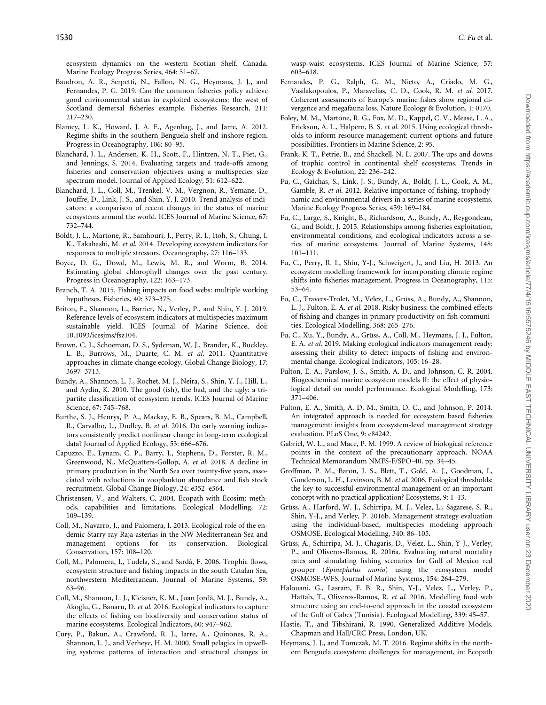<span id="page-14-0"></span>ecosystem dynamics on the western Scotian Shelf. Canada. Marine Ecology Progress Series, 464: 51–67.

- Baudron, A. R., Serpetti, N., Fallon, N. G., Heymans, J. J., and Fernandes, P. G. 2019. Can the common fisheries policy achieve good environmental status in exploited ecosystems: the west of Scotland demersal fisheries example. Fisheries Research, 211: 217–230.
- Blamey, L. K., Howard, J. A. E., Agenbag, J., and Jarre, A. 2012. Regime-shifts in the southern Benguela shelf and inshore region. Progress in Oceanography, 106: 80–95.
- Blanchard, J. L., Andersen, K. H., Scott, F., Hintzen, N. T., Piet, G., and Jennings, S. 2014. Evaluating targets and trade-offs among fisheries and conservation objectives using a multispecies size spectrum model. Journal of Applied Ecology, 51: 612–622.
- Blanchard, J. L., Coll, M., Trenkel, V. M., Vergnon, R., Yemane, D., Jouffre, D., Link, J. S., and Shin, Y. J. 2010. Trend analysis of indicators: a comparison of recent changes in the status of marine ecosystems around the world. ICES Journal of Marine Science, 67: 732–744.
- Boldt, J. L., Martone, R., Samhouri, J., Perry, R. I., Itoh, S., Chung, I. K., Takahashi, M. et al. 2014. Developing ecosystem indicators for responses to multiple stressors. Oceanography, 27: 116–133.
- Boyce, D. G., Dowd, M., Lewis, M. R., and Worm, B. 2014. Estimating global chlorophyll changes over the past century. Progress in Oceanography, 122: 163–173.
- Branch, T. A. 2015. Fishing impacts on food webs: multiple working hypotheses. Fisheries, 40: 373–375.
- Briton, F., Shannon, L., Barrier, N., Verley, P., and Shin, Y. J. 2019. Reference levels of ecosystem indicators at multispecies maximum sustainable yield. ICES Journal of Marine Science, doi: 10.1093/icesjms/fsz104.
- Brown, C. J., Schoeman, D. S., Sydeman, W. J., Brander, K., Buckley, L. B., Burrows, M., Duarte, C. M. et al. 2011. Quantitative approaches in climate change ecology. Global Change Biology, 17: 3697–3713.
- Bundy, A., Shannon, L. J., Rochet, M. J., Neira, S., Shin, Y. J., Hill, L., and Aydin, K. 2010. The good (ish), the bad, and the ugly: a tripartite classification of ecosystem trends. ICES Journal of Marine Science, 67: 745–768.
- Burthe, S. J., Henrys, P. A., Mackay, E. B., Spears, B. M., Campbell, R., Carvalho, L., Dudley, B. et al. 2016. Do early warning indicators consistently predict nonlinear change in long-term ecological data? Journal of Applied Ecology, 53: 666–676.
- Capuzzo, E., Lynam, C. P., Barry, J., Stephens, D., Forster, R. M., Greenwood, N., McQuatters-Gollop, A. et al. 2018. A decline in primary production in the North Sea over twenty-five years, associated with reductions in zooplankton abundance and fish stock recruitment. Global Change Biology, 24: e352–e364.
- Christensen, V., and Walters, C. 2004. Ecopath with Ecosim: methods, capabilities and limitations. Ecological Modelling, 72: 109–139.
- Coll, M., Navarro, J., and Palomera, I. 2013. Ecological role of the endemic Starry ray Raja asterias in the NW Mediterranean Sea and management options for its conservation. Biological Conservation, 157: 108–120.
- Coll, M., Palomera, I., Tudela, S., and Sardà, F. 2006. Trophic flows, ecosystem structure and fishing impacts in the south Catalan Sea, northwestern Mediterranean. Journal of Marine Systems, 59: 63–96.
- Coll, M., Shannon, L. J., Kleisner, K. M., Juan Jordà, M. J., Bundy, A., Akoglu, G., Banaru, D. et al. 2016. Ecological indicators to capture the effects of fishing on biodiversity and conservation status of marine ecosystems. Ecological Indicators, 60: 947–962.
- Cury, P., Bakun, A., Crawford, R. J., Jarre, A., Quinones, R. A., Shannon, L. J., and Verheye, H. M. 2000. Small pelagics in upwelling systems: patterns of interaction and structural changes in

wasp-waist ecosystems. ICES Journal of Marine Science, 57: 603–618.

- Fernandes, P. G., Ralph, G. M., Nieto, A., Criado, M. G., Vasilakopoulos, P., Maravelias, C. D., Cook, R. M. et al. 2017. Coherent assessments of Europe's marine fishes show regional divergence and megafauna loss. Nature Ecology & Evolution, 1: 0170.
- Foley, M. M., Martone, R. G., Fox, M. D., Kappel, C. V., Mease, L. A., Erickson, A. L., Halpern, B. S. et al. 2015. Using ecological thresholds to inform resource management: current options and future possibilities. Frontiers in Marine Science, 2: 95.
- Frank, K. T., Petrie, B., and Shackell, N. L. 2007. The ups and downs of trophic control in continental shelf ecosystems. Trends in Ecology & Evolution, 22: 236–242.
- Fu, C., Gaichas, S., Link, J. S., Bundy, A., Boldt, J. L., Cook, A. M., Gamble, R. et al. 2012. Relative importance of fishing, trophodynamic and environmental drivers in a series of marine ecosystems. Marine Ecology Progress Series, 459: 169–184.
- Fu, C., Large, S., Knight, B., Richardson, A., Bundy, A., Reygondeau, G., and Boldt, J. 2015. Relationships among fisheries exploitation, environmental conditions, and ecological indicators across a series of marine ecosystems. Journal of Marine Systems, 148: 101–111.
- Fu, C., Perry, R. I., Shin, Y-J., Schweigert, J., and Liu, H. 2013. An ecosystem modelling framework for incorporating climate regime shifts into fisheries management. Progress in Oceanography, 115: 53–64.
- Fu, C., Travers-Trolet, M., Velez, L., Grüss, A., Bundy, A., Shannon, L. J., Fulton, E. A. et al. 2018. Risky business: the combined effects of fishing and changes in primary productivity on fish communities. Ecological Modelling, 368: 265–276.
- Fu, C., Xu, Y., Bundy, A., Grüss, A., Coll, M., Heymans, J. J., Fulton, E. A. et al. 2019. Making ecological indicators management ready: assessing their ability to detect impacts of fishing and environmental change. Ecological Indicators, 105: 16–28.
- Fulton, E. A., Parslow, J. S., Smith, A. D., and Johnson, C. R. 2004. Biogeochemical marine ecosystem models II: the effect of physiological detail on model performance. Ecological Modelling, 173: 371–406.
- Fulton, E. A., Smith, A. D. M., Smith, D. C., and Johnson, P. 2014. An integrated approach is needed for ecosystem based fisheries management: insights from ecosystem-level management strategy evaluation. PLoS One, 9: e84242.
- Gabriel, W. L., and Mace, P. M. 1999. A review of biological reference points in the context of the precautionary approach. NOAA Technical Memorandum NMFS-F/SPO-40. pp. 34–45.
- Groffman, P. M., Baron, J. S., Blett, T., Gold, A. J., Goodman, I., Gunderson, L. H., Levinson, B. M. et al. 2006. Ecological thresholds: the key to successful environmental management or an important concept with no practical application? Ecosystems, 9: 1–13.
- Grüss, A., Harford, W. J., Schirripa, M. J., Velez, L., Sagarese, S. R., Shin, Y-J., and Verley, P. 2016b. Management strategy evaluation using the individual-based, multispecies modeling approach OSMOSE. Ecological Modelling, 340: 86–105.
- Grüss, A., Schirripa, M. J., Chagaris, D., Velez, L., Shin, Y-J., Verley, P., and Oliveros-Ramos, R. 2016a. Evaluating natural mortality rates and simulating fishing scenarios for Gulf of Mexico red grouper (Epinephelus morio) using the ecosystem model OSMOSE-WFS. Journal of Marine Systems, 154: 264–279.
- Halouani, G., Lasram, F. B. R., Shin, Y-J., Velez, L., Verley, P., Hattab, T., Oliveros-Ramos, R. et al. 2016. Modelling food web structure using an end-to-end approach in the coastal ecosystem of the Gulf of Gabes (Tunisia). Ecological Modelling, 339: 45–57.
- Hastie, T., and Tibshirani, R. 1990. Generalized Additive Models. Chapman and Hall/CRC Press, London, UK.
- Heymans, J. J., and Tomczak, M. T. 2016. Regime shifts in the northern Benguela ecosystem: challenges for management, in: Ecopath